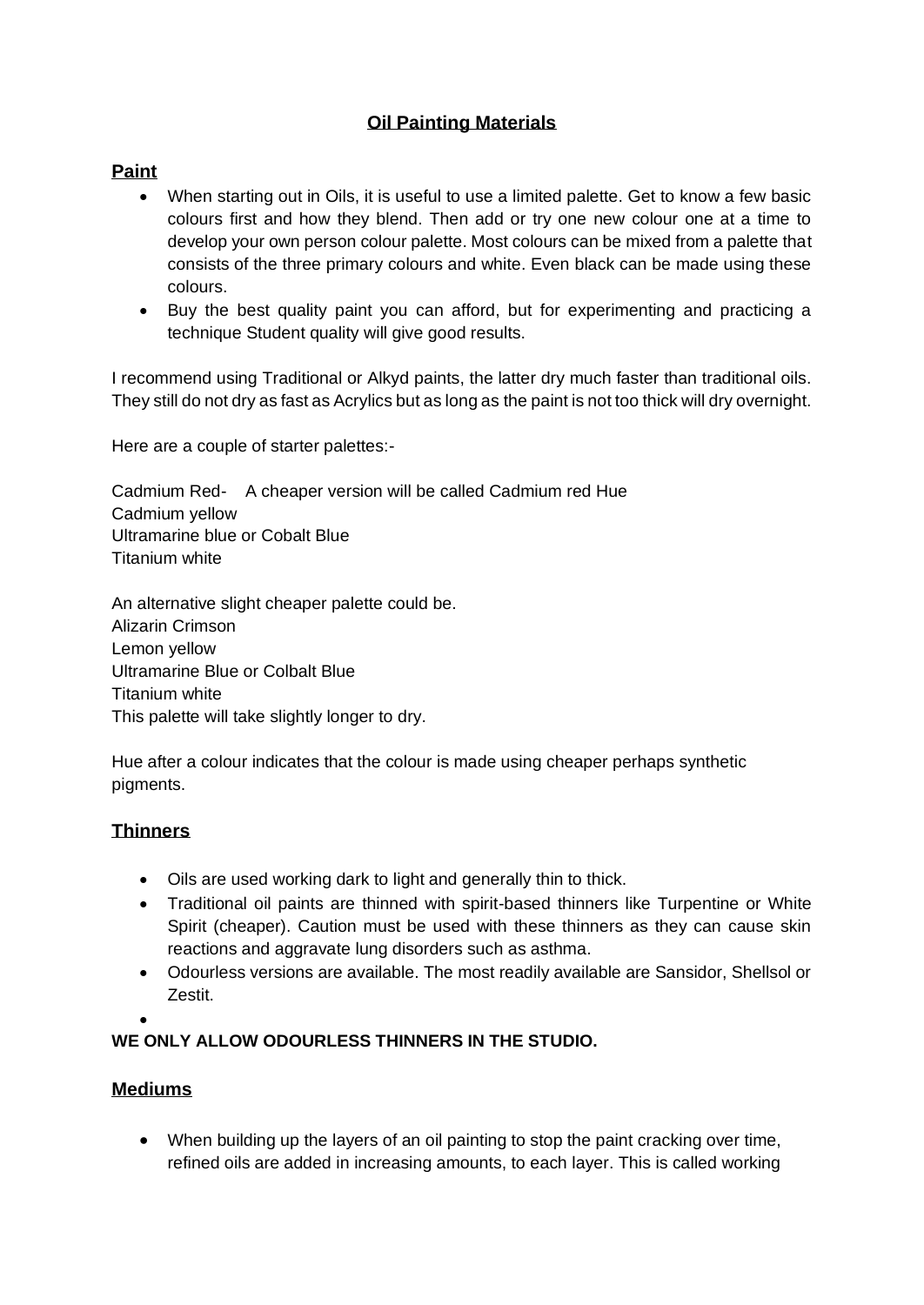# **Oil Painting Materials**

### **Paint**

- When starting out in Oils, it is useful to use a limited palette. Get to know a few basic colours first and how they blend. Then add or try one new colour one at a time to develop your own person colour palette. Most colours can be mixed from a palette that consists of the three primary colours and white. Even black can be made using these colours.
- Buy the best quality paint you can afford, but for experimenting and practicing a technique Student quality will give good results.

I recommend using Traditional or Alkyd paints, the latter dry much faster than traditional oils. They still do not dry as fast as Acrylics but as long as the paint is not too thick will dry overnight.

Here are a couple of starter palettes:-

Cadmium Red- A cheaper version will be called Cadmium red Hue Cadmium yellow Ultramarine blue or Cobalt Blue Titanium white

An alternative slight cheaper palette could be. Alizarin Crimson Lemon yellow Ultramarine Blue or Colbalt Blue Titanium white This palette will take slightly longer to dry.

Hue after a colour indicates that the colour is made using cheaper perhaps synthetic pigments.

## **Thinners**

- Oils are used working dark to light and generally thin to thick.
- Traditional oil paints are thinned with spirit-based thinners like Turpentine or White Spirit (cheaper). Caution must be used with these thinners as they can cause skin reactions and aggravate lung disorders such as asthma.
- Odourless versions are available. The most readily available are Sansidor, Shellsol or Zestit.

•

#### **WE ONLY ALLOW ODOURLESS THINNERS IN THE STUDIO.**

#### **Mediums**

• When building up the layers of an oil painting to stop the paint cracking over time, refined oils are added in increasing amounts, to each layer. This is called working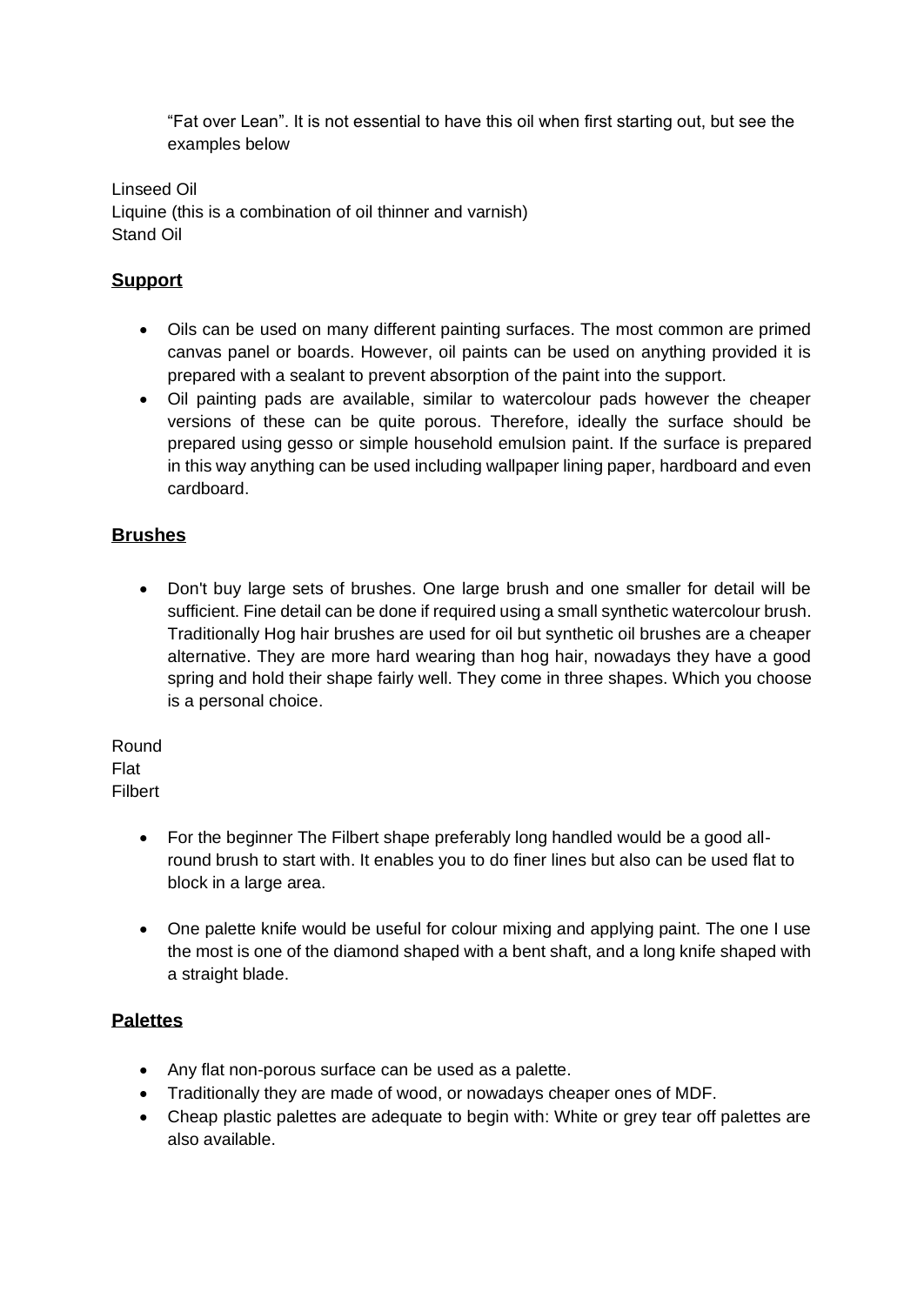"Fat over Lean". It is not essential to have this oil when first starting out, but see the examples below

Linseed Oil Liquine (this is a combination of oil thinner and varnish) Stand Oil

## **Support**

- Oils can be used on many different painting surfaces. The most common are primed canvas panel or boards. However, oil paints can be used on anything provided it is prepared with a sealant to prevent absorption of the paint into the support.
- Oil painting pads are available, similar to watercolour pads however the cheaper versions of these can be quite porous. Therefore, ideally the surface should be prepared using gesso or simple household emulsion paint. If the surface is prepared in this way anything can be used including wallpaper lining paper, hardboard and even cardboard.

## **Brushes**

• Don't buy large sets of brushes. One large brush and one smaller for detail will be sufficient. Fine detail can be done if required using a small synthetic watercolour brush. Traditionally Hog hair brushes are used for oil but synthetic oil brushes are a cheaper alternative. They are more hard wearing than hog hair, nowadays they have a good spring and hold their shape fairly well. They come in three shapes. Which you choose is a personal choice.

Round Flat Filbert

- For the beginner The Filbert shape preferably long handled would be a good allround brush to start with. It enables you to do finer lines but also can be used flat to block in a large area.
- One palette knife would be useful for colour mixing and applying paint. The one I use the most is one of the diamond shaped with a bent shaft, and a long knife shaped with a straight blade.

## **Palettes**

- Any flat non-porous surface can be used as a palette.
- Traditionally they are made of wood, or nowadays cheaper ones of MDF.
- Cheap plastic palettes are adequate to begin with: White or grey tear off palettes are also available.